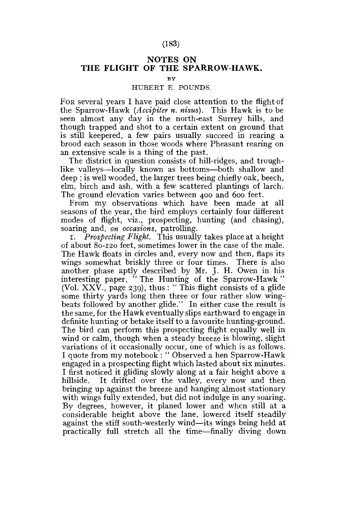## **NOTES ON THE FLIGHT OF THE SPARROW-HAWK,**

## **BY**

## HUBERT E. POUNDS.

FOR several years I have paid close attention to the flight of the Sparrow-Hawk *(Accipiter n. nisus).* This Hawk is to be seen almost any day in the north-east Surrey hills, and though trapped and shot to a certain extent on ground that is still keepered, a few pairs usually succeed in rearing a brood each season in those woods where Pheasant rearing on an extensive scale is a thing of the past.

The district in question consists of hill-ridges, and troughlike valleys—locally known as bottoms—both shallow and deep ; is well wooded, the larger trees being chiefly oak, beech, elm, birch and ash, with a few scattered plantings of larch. The ground elevation varies between 400 and 600 feet.

From my observations which have been made at all seasons of the year, the bird employs certainly four different modes of flight, viz., prospecting, hunting (and chasing), soaring and, *on occasions,* patrolling.

1. *Prospecting Flight.* This usually takes place at a height of about 80-120 feet, sometimes lower in the case of the male. The Hawk floats in circles and, every now and then, flaps its wings somewhat briskly three or four times. There is also another phase aptly described by Mr. J. H. Owen in his interesting paper, " The Hunting of the Sparrow-Hawk" (Vol.  $XXV$ , page 239), thus: "This flight consists of a glide some thirty yards long then three or four rather slow wingbeats followed by another glide." In either case the result is the same, for the Hawk eventually slips earthward to engage in definite hunting or betake itself to a favourite hunting-ground. The bird can perform this prospecting flight equally well in wind or calm, though when a steady breeze is blowing, slight variations of it occasionally occur, one of which is as follows. I quote from my notebook : " Observed a hen Sparrow-Hawk engaged in a prospecting flight which lasted about six minutes. I first noticed it gliding slowly along at a fair height above a hillside. It drifted over the valley, every now and then bringing up against the breeze and hanging almost stationary with wings fully extended, but did not indulge in any soaring. By degrees, however, it planed lower and when still at a considerable height above the lane, lowered itself steadily against the stiff south-westerly wind—its wings being held at practically full stretch all the time—finally diving down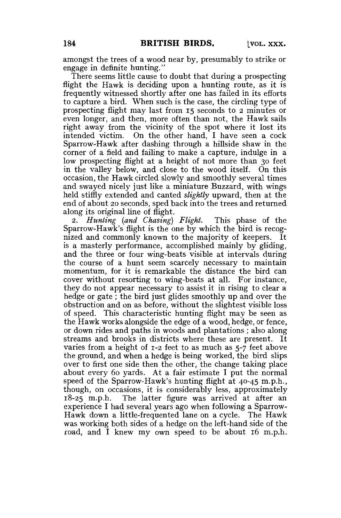amongst the trees of a wood near by, presumably to strike or engage in definite hunting."

There seems little cause to doubt that during a prospecting flight the Hawk is deciding upon a hunting route, as it is frequently witnessed shortly after one has failed in its efforts to capture a bird. When such is the case, the circling type of prospecting flight may last from 15 seconds to 2 minutes or even longer, and then, more often than not, the Hawk sails right away from the vicinity of the spot where it lost its intended victim. On the other hand, I have seen a cock Sparrow-Hawk after dashing through a hillside shaw in the corner of a field and failing to make a capture, indulge in a low prospecting flight at a height of not more than 30 feet in the valley below, and close to the wood itself. On this occasion, the Hawk circled slowly and smoothly several times and swayed nicely just like a miniature Buzzard, with wings held stiffly extended and canted *slightly* upward, then at the end of about 20 seconds, sped back into the trees and returned along its original line of flight.

2. *Hunting (and Chasing) Flight.* This phase of the Sparrow-Hawk's flight is the one by which the bird is recognized and commonly known to the majority of keepers. It is a masterly performance, accomplished mainly by gliding, and the three or four wing-beats visible at intervals during the course of a hunt seem scarcely necessary to maintain momentum, for it is remarkable the distance the bird can cover without resorting to wing-beats at all. For instance, they do not appear necessary to assist it in rising to clear a hedge or gate; the bird just glides smoothly up and over the obstruction and on as before, without the slightest visible loss of speed. This characteristic hunting flight may be seen as the Hawk works alongside the edge of a wood, hedge, or fence, or down rides and paths in woods and plantations ; also along streams and brooks in districts where these are present. It varies from a height of 1-2 feet to as much as 5-7 feet above the ground, and when a hedge is being worked, the bird slips over to first one side then the other, the change taking place about every 60 yards. At a fair estimate I put the normal speed of the Sparrow-Hawk's hunting flight at 40-45 m.p.h., though, on occasions, it is considerably less, approximately 18-25 m.p.h. The latter figure was arrived at after an experience I had several years ago when following a Sparrow-Hawk down a little-frequented lane on a cycle. The Hawk was working both sides of a hedge on the left-hand side of the road, and I knew my own speed to be about 16 m.p.h.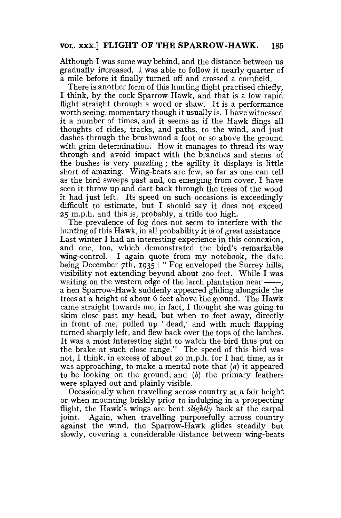Although I was some way behind, and the distance between us gradually increased, I was able to follow it nearly quarter of a mile before it finally turned off and crossed a cornfield.

There is another form of this hunting flight practised chiefly, I think, by the cock Sparrow-Hawk, and that is a low rapid flight straight through a wood or shaw. It is a performance worth seeing, momentary though it usually is. I have witnessed it a number of times, and it seems as if the Hawk flings all thoughts of rides, tracks, and paths, to the wind, and just dashes through the brushwood a foot or so above the ground with grim determination. How it manages to thread its way through and avoid impact with the branches and stems of the bushes is very puzzling; the agility it displays is little short of amazing. Wing-beats are few, so far as one can tell as the bird sweeps past and, on emerging from cover, I have seen it throw up and dart back through the trees of the wood it had just left. Its speed on such occasions is exceedingly difficult to estimate, but I should say it does not exceed 25 m.p.h. and this is, probably, a trifle too high.

The prevalence of fog does not seem to interfere with the hunting of this Hawk, in all probability it is of great assistance. Last winter I had an interesting experience in this connexion, and one, too, which demonstrated the bird's remarkable wing-control. I again quote from my notebook, the date being December 7th, 1935 : "Fog enveloped the Surrey hills, visibility not extending beyond about 200 feet. While I was waiting on the western edge of the larch plantation near  $-\frac{1}{x}$ . a hen Sparrow-Hawk suddenly appeared gliding alongside the trees at a height of about 6 feet above 'the ground. The Hawk came straight towards me, in fact, I thought she was going to skim close past my head, but when 10 feet away, directly in front of me, pulled up ' dead,' and with much flapping turned sharply left, and flew back over the tops of the larches. It was a most interesting sight to watch the bird thus put on the brake at such close range." The speed of this bird was not, I think, in excess of about 20 m.p.h. for I had time, as it was approaching, to make a mental note that  $(a)$  it appeared to be looking on the ground, and *(b)* the primary feathers were splayed out and plainly visible.

Occasionally when travelling across country at a fair height or when mounting briskly prior to indulging in a prospecting flight, the Hawk's wings are bent *slightly* back at the carpal joint. Again, when travelling purposefully across country against the wind, the Sparrow-Hawk glides steadily but slowly, covering a considerable distance between wing-beats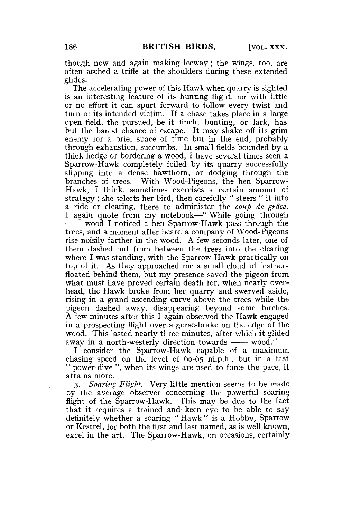though now and again making leeway ; the wings, too, are often arched a trifle at the shoulders during these extended glides.

The accelerating power of this Hawk when quarry is sighted is an interesting feature of its hunting flight, for with little or no effort it can spurt forward to follow every twist and turn of its intended victim. If a chase takes place in a large open field, the pursued, be it finch, bunting, or lark, has but the barest chance of escape. It may shake off its grim enemy for a brief space of time but in the end, probably through exhaustion, succumbs. In small fields bounded by a thick hedge or bordering a wood, I have several times seen a Sparrow-Hawk completely foiled by its quarry successfully slipping into a dense hawthorn, or dodging through the branches of trees. With Wood-Pigeons, the hen Sparrow-Hawk, I think, sometimes exercises a certain amount of strategy ; she selects her bird, then carefully " steers " it into a ride or clearing, there to administer the *coup de grace.*  I again quote from my notebook—" While going through wood I noticed a hen Sparrow-Hawk pass through the trees, and a moment after heard a company of Wood-Pigeons rise noisily farther in the wood. A few seconds later, one of them dashed out from between the trees into the clearing where I was standing, with the Sparrow-Hawk practically on top of it. As they approached me a small cloud of feathers floated behind them, but my presence saved the pigeon from what must have proved certain death for, when nearly overhead, the Hawk broke from her quarry and swerved aside, rising in a grand ascending curve above the trees while the pigeon dashed away, disappearing beyond some birches. A few minutes after this I again observed the Hawk engaged in a prospecting flight over a gorse-brake on the edge of the wood. This lasted nearly three minutes, after which it glided away in a north-westerly direction towards  $-\infty$  wood."

I consider the Sparrow-Hawk capable of a maximum chasing speed on the level of  $60-65$  m.p.h., but in a fast power-dive ", when its wings are used to force the pace, it attains more.

3. *Soaring Flight.* Very little mention seems to be made by the average observer concerning the powerful soaring flight of the Sparrow-Hawk. This may be due to the fact that it requires a trained and keen eye to be able to say definitely whether a soaring " Hawk " is a Hobby, Sparrow or Kestrel, for both the first and last named, as is well known, excel in the art. The Sparrow-Hawk, on occasions, certainly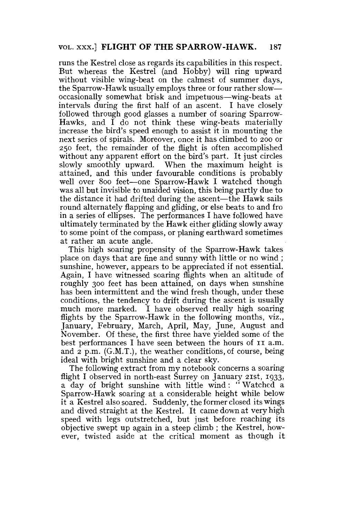runs the Kestrel close as regards its capabilities in this respect. But whereas the Kestrel (and Hobby) will ring upward without visible wing-beat on the calmest of summer days, the Sparrow-Hawk usually employs three or four rather slow occasionally somewhat brisk and impetuous—wing-beats at intervals during the first half of an ascent. I have closely followed through good glasses a number of soaring Sparrow-Hawks, and I do not think these wing-beats materially increase the bird's speed enough to assist it in mounting the next series of spirals. Moreover, once it has climbed to 200 or 250 feet, the remainder of the flight is often accomplished without any apparent effort on the bird's part. It just circles slowly smoothly upward. When the maximum height is attained, and this under favourable conditions is probably well over 800 feet—one Sparrow-Hawk I watched though was all but invisible to unaided vision, this being partly due to the distance it had drifted during the ascent—the Hawk sails round alternately flapping and gliding, or else beats to and fro in a series of ellipses. The performances I have followed have ultimately terminated by the Hawk either gliding slowly away to some point of the compass, or planing earthward sometimes at rather an acute angle.

This high soaring propensity of the Sparrow-Hawk takes place on days that are fine and sunny with little or no wind ; sunshine, however, appears to be appreciated if not essential. Again, I have witnessed soaring flights when an altitude of roughly 300 feet has been attained, on days when sunshine has been intermittent and the wind fresh though, under these conditions, the tendency to drift during the ascent is usually much more marked. I have observed really high soaring flights by the Sparrow-Hawk in the following months, viz., January, February, March, April, May, June, August and November. Of these, the first three have yielded some of the best performances I have seen between the hours of  $I1$  a.m. and 2 p.m. (G.M.T.), the weather conditions, of course, being ideal with bright sunshine and a clear sky.

The following extract from my notebook concerns a soaring flight I observed in north-east Surrey on January 21st, 1933, a day of bright sunshine with little wind: " Watched a Sparrow-Hawk soaring at a considerable height while below it a Kestrel also soared. Suddenly, the former closed its wings and dived straight at the Kestrel. It came down at very high speed with legs outstretched, but just before reaching its objective swept up again in a steep climb ; the Kestrel, however, twisted aside at the critical moment as though it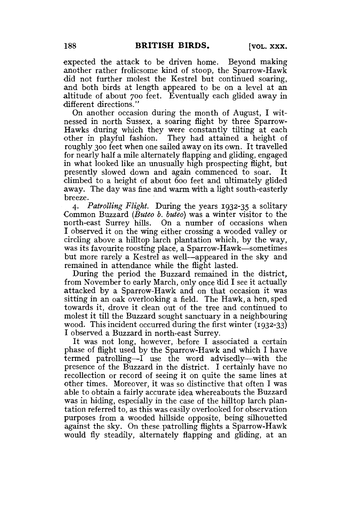expected the attack to be driven home. Beyond making another rather frolicsome kind of stoop, the Sparrow-Hawk did not further molest the Kestrel but continued soaring, and both birds at length appeared to be on a level at an altitude of about 700 feet. Eventually each glided away in different directions."

On another occasion during the month of August, I witnessed in north Sussex, a soaring flight by three Sparrow-Hawks during which they were constantly tilting at each other in playful fashion. They had attained a height of roughly 300 feet when one sailed away on its own. It travelled for nearly half a mile alternately flapping and gliding, engaged in what looked like an unusually high prospecting flight, but presently slowed down and again commenced to soar. It climbed to a height of about 600 feet and ultimately glided away. The day was fine and warm with a light south-easterly breeze.

4. *Patrolling Flight.* During the years 1932-35 a solitary Common Buzzard *{Buteo b. buteo)* was a winter visitor to the north-east Surrey hills. On a number of occasions when I observed it on the wing either crossing a wooded valley or circling above a hilltop larch plantation which, by the way, was its favourite roosting place, a Sparrow-Hawk—sometimes but more rarely a Kestrel as well—appeared in the sky and remained in attendance while the flight lasted.

During the period the Buzzard remained in the district, from November to early March, only once did I see it actually attacked by a Sparrow-Hawk and on that occasion it was sitting in an oak overlooking a field. The Hawk, a hen, sped towards it, drove it clean out of the tree and continued to molest it till the Buzzard sought sanctuary in a neighbouring wood. This incident occurred during the first winter (1932-33) I observed a Buzzard in north-east Surrey.

It was not long, however, before I associated a certain phase of flight used by the Sparrow-Hawk and which I have termed patrolling—I use the word advisedly—with the presence of the Buzzard in the district. I certainly have no recollection or record of seeing it on quite the same lines at other times. Moreover, it was so distinctive that often I was able to obtain a fairly accurate idea whereabouts the Buzzard was in hiding, especially in the case of the hilltop larch plantation referred to, as this was easily overlooked for observation purposes from a wooded hillside opposite, being silhouetted against the sky. On these patrolling flights a Sparrow-Hawk would fly steadily, alternately flapping and gliding, at an